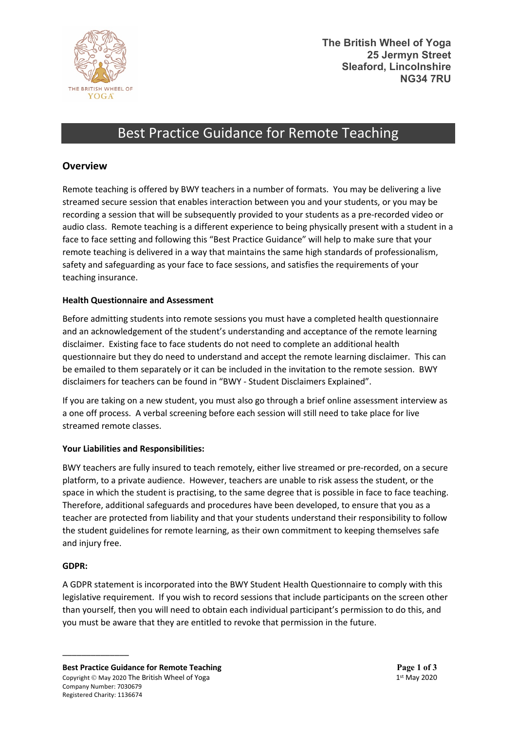

# Best Practice Guidance for Remote Teaching

# **Overview**

Remote teaching is offered by BWY teachers in a number of formats. You may be delivering a live streamed secure session that enables interaction between you and your students, or you may be recording a session that will be subsequently provided to your students as a pre-recorded video or audio class. Remote teaching is a different experience to being physically present with a student in a face to face setting and following this "Best Practice Guidance" will help to make sure that your remote teaching is delivered in a way that maintains the same high standards of professionalism, safety and safeguarding as your face to face sessions, and satisfies the requirements of your teaching insurance.

## **Health Questionnaire and Assessment**

Before admitting students into remote sessions you must have a completed health questionnaire and an acknowledgement of the student's understanding and acceptance of the remote learning disclaimer. Existing face to face students do not need to complete an additional health questionnaire but they do need to understand and accept the remote learning disclaimer. This can be emailed to them separately or it can be included in the invitation to the remote session. BWY disclaimers for teachers can be found in "BWY - Student Disclaimers Explained".

If you are taking on a new student, you must also go through a brief online assessment interview as a one off process. A verbal screening before each session will still need to take place for live streamed remote classes.

## **Your Liabilities and Responsibilities:**

BWY teachers are fully insured to teach remotely, either live streamed or pre-recorded, on a secure platform, to a private audience. However, teachers are unable to risk assess the student, or the space in which the student is practising, to the same degree that is possible in face to face teaching. Therefore, additional safeguards and procedures have been developed, to ensure that you as a teacher are protected from liability and that your students understand their responsibility to follow the student guidelines for remote learning, as their own commitment to keeping themselves safe and injury free.

## **GDPR:**

\_\_\_\_\_\_\_\_\_\_\_\_\_\_

A GDPR statement is incorporated into the BWY Student Health Questionnaire to comply with this legislative requirement. If you wish to record sessions that include participants on the screen other than yourself, then you will need to obtain each individual participant's permission to do this, and you must be aware that they are entitled to revoke that permission in the future.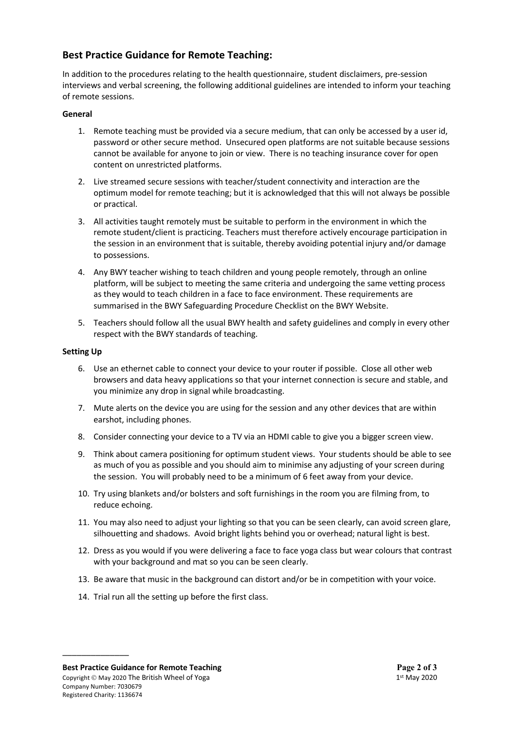# **Best Practice Guidance for Remote Teaching:**

In addition to the procedures relating to the health questionnaire, student disclaimers, pre-session interviews and verbal screening, the following additional guidelines are intended to inform your teaching of remote sessions.

#### **General**

- 1. Remote teaching must be provided via a secure medium, that can only be accessed by a user id, password or other secure method. Unsecured open platforms are not suitable because sessions cannot be available for anyone to join or view. There is no teaching insurance cover for open content on unrestricted platforms.
- 2. Live streamed secure sessions with teacher/student connectivity and interaction are the optimum model for remote teaching; but it is acknowledged that this will not always be possible or practical.
- 3. All activities taught remotely must be suitable to perform in the environment in which the remote student/client is practicing. Teachers must therefore actively encourage participation in the session in an environment that is suitable, thereby avoiding potential injury and/or damage to possessions.
- 4. Any BWY teacher wishing to teach children and young people remotely, through an online platform, will be subject to meeting the same criteria and undergoing the same vetting process as they would to teach children in a face to face environment. These requirements are summarised in the BWY Safeguarding Procedure Checklist on the BWY Website.
- 5. Teachers should follow all the usual BWY health and safety guidelines and comply in every other respect with the BWY standards of teaching.

#### **Setting Up**

- 6. Use an ethernet cable to connect your device to your router if possible. Close all other web browsers and data heavy applications so that your internet connection is secure and stable, and you minimize any drop in signal while broadcasting.
- 7. Mute alerts on the device you are using for the session and any other devices that are within earshot, including phones.
- 8. Consider connecting your device to a TV via an HDMI cable to give you a bigger screen view.
- 9. Think about camera positioning for optimum student views. Your students should be able to see as much of you as possible and you should aim to minimise any adjusting of your screen during the session. You will probably need to be a minimum of 6 feet away from your device.
- 10. Try using blankets and/or bolsters and soft furnishings in the room you are filming from, to reduce echoing.
- 11. You may also need to adjust your lighting so that you can be seen clearly, can avoid screen glare, silhouetting and shadows. Avoid bright lights behind you or overhead; natural light is best.
- 12. Dress as you would if you were delivering a face to face yoga class but wear colours that contrast with your background and mat so you can be seen clearly.
- 13. Be aware that music in the background can distort and/or be in competition with your voice.
- 14. Trial run all the setting up before the first class.

\_\_\_\_\_\_\_\_\_\_\_\_\_\_